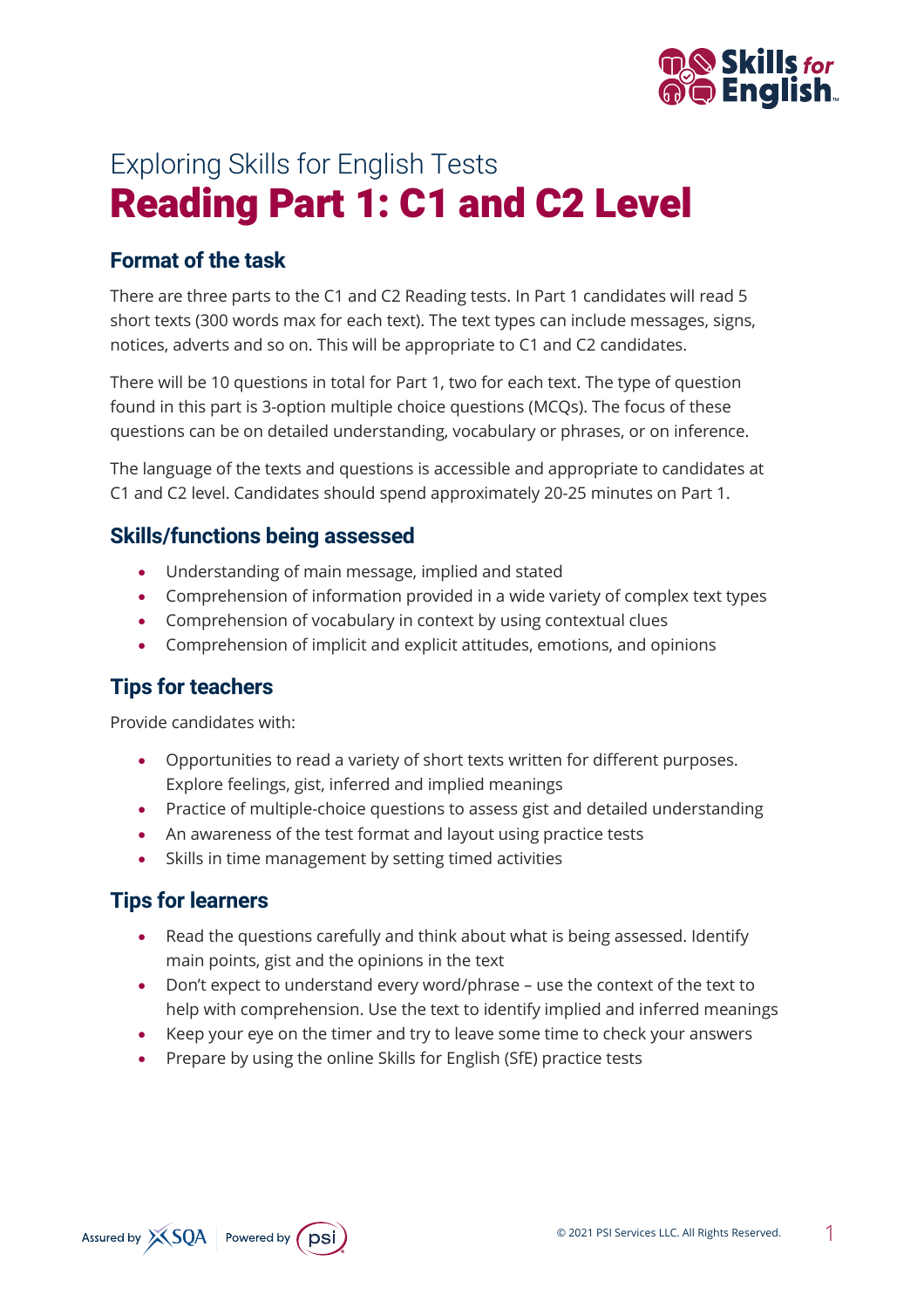

# Exploring Skills for English Tests Reading Part 1: C1 and C2 Level

## **Format of the task**

There are three parts to the C1 and C2 Reading tests. In Part 1 candidates will read 5 short texts (300 words max for each text). The text types can include messages, signs, notices, adverts and so on. This will be appropriate to C1 and C2 candidates.

There will be 10 questions in total for Part 1, two for each text. The type of question found in this part is 3-option multiple choice questions (MCQs). The focus of these questions can be on detailed understanding, vocabulary or phrases, or on inference.

The language of the texts and questions is accessible and appropriate to candidates at C1 and C2 level. Candidates should spend approximately 20-25 minutes on Part 1.

#### **Skills/functions being assessed**

- Understanding of main message, implied and stated
- Comprehension of information provided in a wide variety of complex text types
- Comprehension of vocabulary in context by using contextual clues
- Comprehension of implicit and explicit attitudes, emotions, and opinions

## **Tips for teachers**

Provide candidates with:

- Opportunities to read a variety of short texts written for different purposes. Explore feelings, gist, inferred and implied meanings
- Practice of multiple-choice questions to assess gist and detailed understanding
- An awareness of the test format and layout using practice tests
- Skills in time management by setting timed activities

### **Tips for learners**

- Read the questions carefully and think about what is being assessed. Identify main points, gist and the opinions in the text
- Don't expect to understand every word/phrase use the context of the text to help with comprehension. Use the text to identify implied and inferred meanings
- Keep your eye on the timer and try to leave some time to check your answers
- Prepare by using the online Skills for English (SfE) practice tests

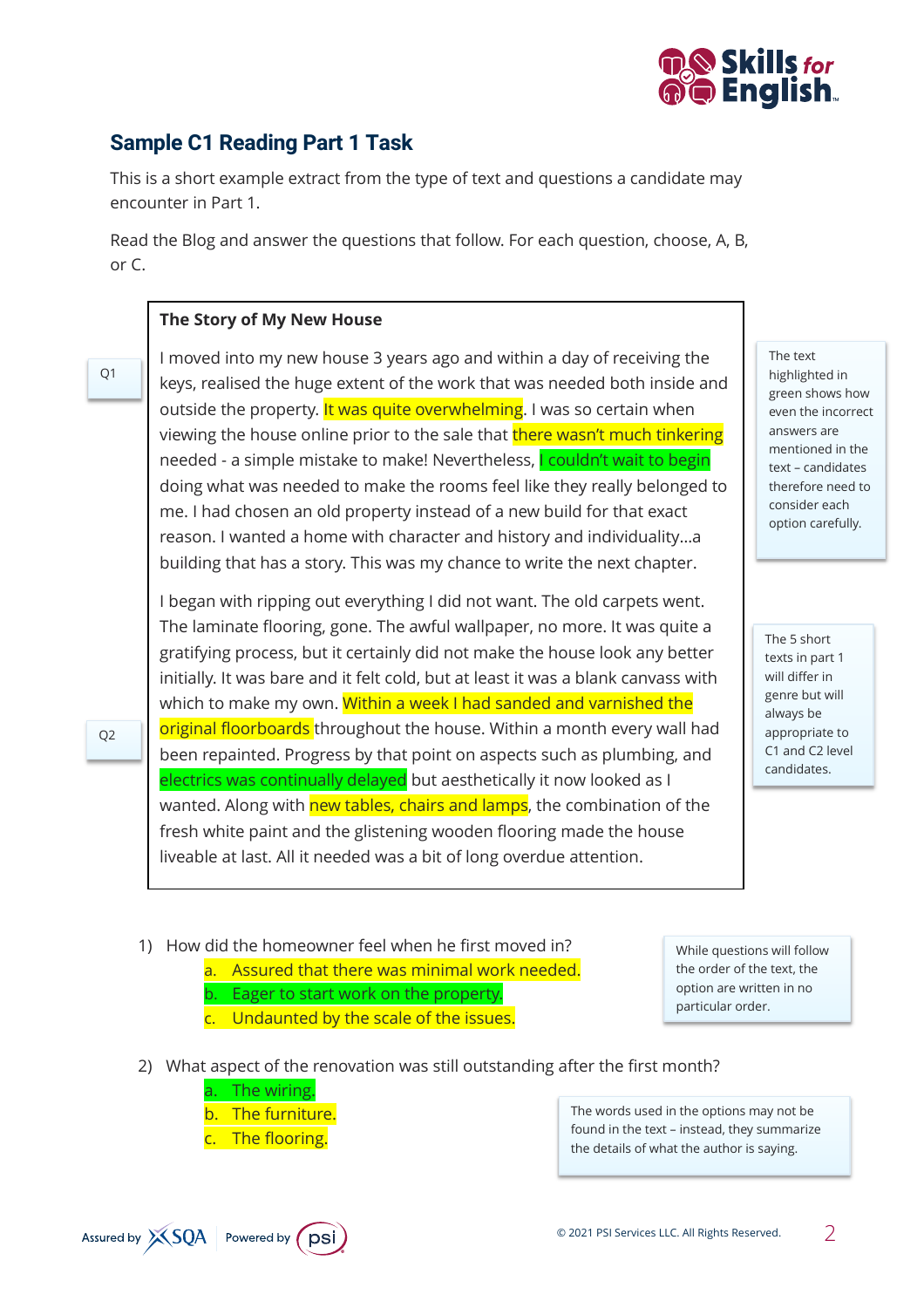

# **Sample C1 Reading Part 1 Task**

This is a short example extract from the type of text and questions a candidate may encounter in Part 1.

Read the Blog and answer the questions that follow. For each question, choose, A, B, or C.

#### **The Story of My New House**

Q1

Q2

I moved into my new house 3 years ago and within a day of receiving the keys, realised the huge extent of the work that was needed both inside and outside the property. It was quite overwhelming. I was so certain when viewing the house online prior to the sale that **there wasn't much tinkering** needed - a simple mistake to make! Nevertheless, I couldn't wait to begin doing what was needed to make the rooms feel like they really belonged to me. I had chosen an old property instead of a new build for that exact reason. I wanted a home with character and history and individuality…a building that has a story. This was my chance to write the next chapter.

I began with ripping out everything I did not want. The old carpets went. The laminate flooring, gone. The awful wallpaper, no more. It was quite a gratifying process, but it certainly did not make the house look any better initially. It was bare and it felt cold, but at least it was a blank canvass with which to make my own. Within a week I had sanded and varnished the original floorboards throughout the house. Within a month every wall had been repainted. Progress by that point on aspects such as plumbing, and electrics was continually delayed but aesthetically it now looked as I wanted. Along with new tables, chairs and lamps, the combination of the fresh white paint and the glistening wooden flooring made the house liveable at last. All it needed was a bit of long overdue attention.

The text highlighted in green shows how even the incorrect answers are mentioned in the text – candidates therefore need to consider each option carefully.

The 5 short texts in part 1 will differ in genre but will always be appropriate to C1 and C2 level candidates.

- 1) How did the homeowner feel when he first moved in?
	- a. Assured that there was minimal work needed. Eager to start work on the property.
	- c. Undaunted by the scale of the issues.

While questions will follow the order of the text, the option are written in no particular order.

- 2) What aspect of the renovation was still outstanding after the first month?
	- a. The wiring.
	- b. The furniture.
	- c. The flooring.

The words used in the options may not be found in the text – instead, they summarize the details of what the author is saying.